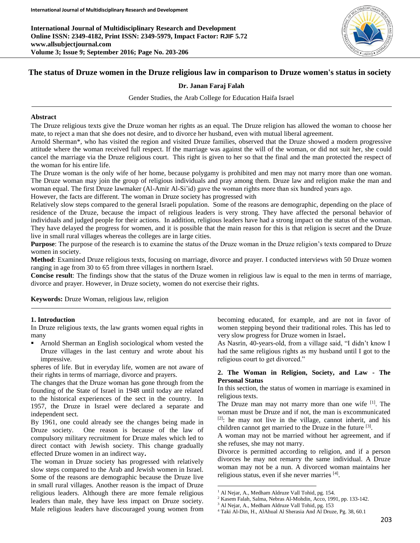**International Journal of Multidisciplinary Research and Development Online ISSN: 2349-4182, Print ISSN: 2349-5979, Impact Factor: RJIF 5.72 www.allsubjectjournal.com Volume 3; Issue 9; September 2016; Page No. 203-206**



# **The status of Druze women in the Druze religious law in comparison to Druze women's status in society**

#### **Dr. Janan Faraj Falah**

Gender Studies, the Arab College for Education Haifa Israel

#### **Abstract**

The Druze religious texts give the Druze woman her rights as an equal. The Druze religion has allowed the woman to choose her mate, to reject a man that she does not desire, and to divorce her husband, even with mutual liberal agreement.

Arnold Sherman\*, who has visited the region and visited Druze families, observed that the Druze showed a modern progressive attitude where the woman received full respect. If the marriage was against the will of the woman, or did not suit her, she could cancel the marriage via the Druze religious court. This right is given to her so that the final and the man protected the respect of the woman for his entire life.

The Druze woman is the only wife of her home, because polygamy is prohibited and men may not marry more than one woman. The Druze woman may join the group of religious individuals and pray among them. Druze law and religion make the man and woman equal. The first Druze lawmaker (Al-Amir Al-Si'id) gave the woman rights more than six hundred years ago.

However, the facts are different. The woman in Druze society has progressed with

Relatively slow steps compared to the general Israeli population. Some of the reasons are demographic, depending on the place of residence of the Druze, because the impact of religious leaders is very strong. They have affected the personal behavior of individuals and judged people for their actions. In addition, religious leaders have had a strong impact on the status of the woman. They have delayed the progress for women, and it is possible that the main reason for this is that religion is secret and the Druze live in small rural villages whereas the colleges are in large cities.

**Purpose**: The purpose of the research is to examine the status of the Druze woman in the Druze religion's texts compared to Druze women in society.

**Method**: Examined Druze religious texts, focusing on marriage, divorce and prayer. I conducted interviews with 50 Druze women ranging in age from 30 to 65 from three villages in northern Israel.

**Concise result**: The findings show that the status of the Druze women in religious law is equal to the men in terms of marriage, divorce and prayer. However, in Druze society, women do not exercise their rights.

 $\overline{a}$ 

**Keywords:** Druze Woman, religious law, religion

#### **1. Introduction**

In Druze religious texts, the law grants women equal rights in many

 Arnold Sherman an English sociological whom vested the Druze villages in the last century and wrote about his impressive.

spheres of life. But in everyday life, women are not aware of their rights in terms of marriage, divorce and prayers.

The changes that the Druze woman has gone through from the founding of the State of Israel in 1948 until today are related to the historical experiences of the sect in the country. In 1957, the Druze in Israel were declared a separate and independent sect.

By 1961, one could already see the changes being made in Druze society. One reason is because of the law of compulsory military recruitment for Druze males which led to direct contact with Jewish society. This change gradually effected Druze women in an indirect way**.**

The woman in Druze society has progressed with relatively slow steps compared to the Arab and Jewish women in Israel. Some of the reasons are demographic because the Druze live in small rural villages. Another reason is the impact of Druze religious leaders. Although there are more female religious leaders than male, they have less impact on Druze society. Male religious leaders have discouraged young women from

becoming educated, for example, and are not in favor of women stepping beyond their traditional roles. This has led to very slow progress for Druze women in Israel**.**

As Nasrin, 40-years-old, from a village said, "I didn't know I had the same religious rights as my husband until I got to the religious court to get divorced."

#### **2. The Woman in Religion, Society, and Law - The Personal Status**

In this section, the status of women in marriage is examined in religious texts.

The Druze man may not marry more than one wife [1]. The woman must be Druze and if not, the man is excommunicated  $[2]$ : he may not live in the village, cannot inherit, and his children cannot get married to the Druze in the future [3].

A woman may not be married without her agreement, and if she refuses, she may not marry.

Divorce is permitted according to religion, and if a person divorces he may not remarry the same individual. A Druze woman may not be a nun. A divorced woman maintains her religious status, even if she never marries [4].

<sup>&</sup>lt;sup>1</sup> Al Nejar, A., Medham Aldruze Vall Tohid, pg. 154.

<sup>2</sup> Kasem Falah, Salma, Nebras Al-Mohdin, Acco, 1991, pp. 133-142.

<sup>3</sup> Al Nejar, A., Medham Aldruze Vall Tohid, pg. 153

<sup>4</sup> Taki Al-Din, H., AlAhual Al Sherasia And Al Druze, Pg. 38, 60.1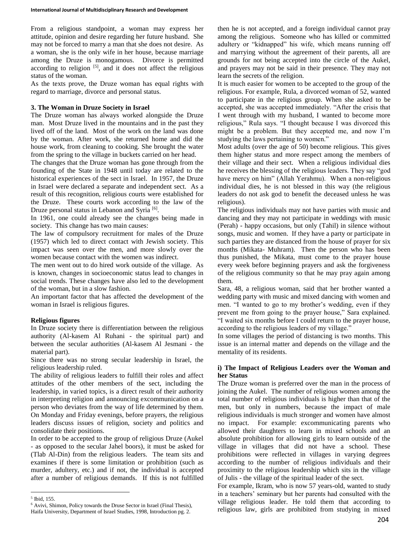From a religious standpoint, a woman may express her attitude, opinion and desire regarding her future husband. She may not be forced to marry a man that she does not desire. As a woman, she is the only wife in her house, because marriage among the Druze is monogamous. Divorce is permitted according to religion [5], and it does not affect the religious status of the woman.

As the texts prove, the Druze woman has equal rights with regard to marriage, divorce and personal status.

#### **3. The Woman in Druze Society in Israel**

The Druze woman has always worked alongside the Druze man. Most Druze lived in the mountains and in the past they lived off of the land. Most of the work on the land was done by the woman. After work, she returned home and did the house work, from cleaning to cooking. She brought the water from the spring to the village in buckets carried on her head.

The changes that the Druze woman has gone through from the founding of the State in 1948 until today are related to the historical experiences of the sect in Israel. In 1957, the Druze in Israel were declared a separate and independent sect. As a result of this recognition, religious courts were established for the Druze. These courts work according to the law of the Druze personal status in Lebanon and Syria<sup>[6]</sup>.

In 1961, one could already see the changes being made in society. This change has two main causes:

The law of compulsory recruitment for males of the Druze (1957) which led to direct contact with Jewish society. This impact was seen over the men, and more slowly over the women because contact with the women was indirect.

The men went out to do hired work outside of the village. As is known, changes in socioeconomic status lead to changes in social trends. These changes have also led to the development of the woman, but in a slow fashion.

An important factor that has affected the development of the woman in Israel is religious figures.

# **Religious figures**

In Druze society there is differentiation between the religious authority (Al-kasem Al Ruhani - the spiritual part) and between the secular authorities (Al-kasem Al Jesmani - the material part).

Since there was no strong secular leadership in Israel, the religious leadership ruled.

The ability of religious leaders to fulfill their roles and affect attitudes of the other members of the sect, including the leadership, in varied topics, is a direct result of their authority in interpreting religion and announcing excommunication on a person who deviates from the way of life determined by them. On Monday and Friday evenings, before prayers, the religious leaders discuss issues of religion, society and politics and consolidate their positions.

In order to be accepted to the group of religious Druze (Aukel - as opposed to the secular Jahel boors), it must be asked for (Tlab Al-Din) from the religious leaders. The team sits and examines if there is some limitation or prohibition (such as murder, adultery, etc.) and if not, the individual is accepted after a number of religious demands. If this is not fulfilled

then he is not accepted, and a foreign individual cannot pray among the religious. Someone who has killed or committed adultery or "kidnapped" his wife, which means running off and marrying without the agreement of their parents, all are grounds for not being accepted into the circle of the Aukel, and prayers may not be said in their presence. They may not learn the secrets of the religion.

It is much easier for women to be accepted to the group of the religious. For example, Rula, a divorced woman of 52, wanted to participate in the religious group. When she asked to be accepted, she was accepted immediately. "After the crisis that I went through with my husband, I wanted to become more religious," Rula says. "I thought because I was divorced this might be a problem. But they accepted me, and now I'm studying the laws pertaining to women."

Most adults (over the age of 50) become religious. This gives them higher status and more respect among the members of their village and their sect. When a religious individual dies he receives the blessing of the religious leaders. They say "god have mercy on him" (Allah Yerahmu). When a non-religious individual dies, he is not blessed in this way (the religious leaders do not ask god to benefit the deceased unless he was religious).

The religious individuals may not have parties with music and dancing and they may not participate in weddings with music (Perah) - happy occasions, but only (Tahil) in silence without songs, music and women. If they have a party or participate in such parties they are distanced from the house of prayer for six months (Mikata- Muhram). Then the person who has been thus punished, the Mikata, must come to the prayer house every week before beginning prayers and ask the forgiveness of the religious community so that he may pray again among them.

Sara, 48, a religious woman, said that her brother wanted a wedding party with music and mixed dancing with women and men. "I wanted to go to my brother's wedding, even if they prevent me from going to the prayer house," Sara explained. "I waited six months before I could return to the prayer house, according to the religious leaders of my village."

In some villages the period of distancing is two months. This issue is an internal matter and depends on the village and the mentality of its residents.

# **i) The Impact of Religious Leaders over the Woman and her Status**

The Druze woman is preferred over the man in the process of joining the Aukel. The number of religious women among the total number of religious individuals is higher than that of the men, but only in numbers, because the impact of male religious individuals is much stronger and women have almost no impact. For example: excommunicating parents who allowed their daughters to learn in mixed schools and an absolute prohibition for allowing girls to learn outside of the village in villages that did not have a school. These prohibitions were reflected in villages in varying degrees according to the number of religious individuals and their proximity to the religious leadership which sits in the village of Julis - the village of the spiritual leader of the sect.

For example, Ikram, who is now 57 years-old, wanted to study in a teachers' seminary but her parents had consulted with the village religious leader. He told them that according to religious law, girls are prohibited from studying in mixed

 $\overline{a}$ 5 Ibid, 155.

<sup>6</sup> Avivi, Shimon, Policy towards the Druse Sector in Israel (Final Thesis), Haifa University, Department of Israel Studies, 1998, Introduction pg. 2.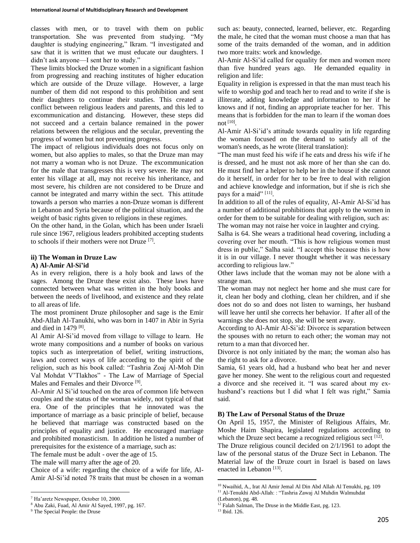classes with men, or to travel with them on public transportation. She was prevented from studying. "My daughter is studying engineering," Ikram. "I investigated and saw that it is written that we must educate our daughters. I didn't ask anyone—I sent her to study."

These limits blocked the Druze women in a significant fashion from progressing and reaching institutes of higher education which are outside of the Druze village. However, a large number of them did not respond to this prohibition and sent their daughters to continue their studies. This created a conflict between religious leaders and parents, and this led to excommunication and distancing. However, these steps did not succeed and a certain balance remained in the power relations between the religious and the secular, preventing the progress of women but not preventing progress.

The impact of religious individuals does not focus only on women, but also applies to males, so that the Druze man may not marry a woman who is not Druze. The excommunication for the male that transgresses this is very severe. He may not enter his village at all, may not receive his inheritance, and most severe, his children are not considered to be Druze and cannot be integrated and marry within the sect. This attitude towards a person who marries a non-Druze woman is different in Lebanon and Syria because of the political situation, and the weight of basic rights given to religions in these regimes.

On the other hand, in the Golan, which has been under Israeli rule since 1967, religious leaders prohibited accepting students to schools if their mothers were not Druze [7] .

### **ii) The Woman in Druze Law**

#### **A) Al-Amir Al-Si'id**

As in every religion, there is a holy book and laws of the sages. Among the Druze these exist also. These laws have connected between what was written in the holy books and between the needs of livelihood, and existence and they relate to all areas of life.

The most prominent Druze philosopher and sage is the Emir Abd-Allah Al-Tanukhi, who was born in 1407 in Abir in Syria and died in 1479<sup>[8]</sup>.

Al Amir Al-Si'id moved from village to village to learn. He wrote many compositions and a number of books on various topics such as interpretation of belief, writing instructions, laws and correct ways of life according to the spirit of the religion, such as his book called: "Tashria Zoaj Al-Moh Din Val Mohdat V'Tlakhos" - The Law of Marriage of Special Males and Females and their Divorce<sup>[9]</sup>.

Al-Amir Al Si'id touched on the area of common life between couples and the status of the woman widely, not typical of that era. One of the principles that he innovated was the importance of marriage as a basic principle of belief, because he believed that marriage was constructed based on the principles of equality and justice. He encouraged marriage and prohibited monasticism. In addition he listed a number of prerequisites for the existence of a marriage, such as:

The female must be adult - over the age of 15.

The male will marry after the age of 20.

Choice of a wife: regarding the choice of a wife for life, Al-Amir Al-Si'id noted 78 traits that must be chosen in a woman

 $\overline{a}$ 

such as: beauty, connected, learned, believer, etc. Regarding the male, he cited that the woman must choose a man that has some of the traits demanded of the woman, and in addition two more traits: work and knowledge.

Al-Amir Al-Si'id called for equality for men and women more than five hundred years ago. He demanded equality in religion and life:

Equality in religion is expressed in that the man must teach his wife to worship god and teach her to read and to write if she is illiterate, adding knowledge and information to her if he knows and if not, finding an appropriate teacher for her. This means that is forbidden for the man to learn if the woman does not [10] .

Al-Amir Al-Si'id's attitude towards equality in life regarding the woman focused on the demand to satisfy all of the woman's needs, as he wrote (literal translation):

"The man must feed his wife if he eats and dress his wife if he is dressed, and he must not ask more of her than she can do. He must find her a helper to help her in the house if she cannot do it herself, in order for her to be free to deal with religion and achieve knowledge and information, but if she is rich she pays for a maid" [11].

In addition to all of the rules of equality, Al-Amir Al-Si'id has a number of additional prohibitions that apply to the women in order for them to be suitable for dealing with religion, such as: The woman may not raise her voice in laughter and crying.

Salha is 64. She wears a traditional head covering, including a covering over her mouth. "This is how religious women must dress in public," Salha said. "I accept this because this is how it is in our village. I never thought whether it was necessary according to religious law."

Other laws include that the woman may not be alone with a strange man.

The woman may not neglect her home and she must care for it, clean her body and clothing, clean her children, and if she does not do so and does not listen to warnings, her husband will leave her until she corrects her behavior. If after all of the warnings she does not stop, she will be sent away.

According to Al-Amir Al-Si'id: Divorce is separation between the spouses with no return to each other; the woman may not return to a man that divorced her.

Divorce is not only initiated by the man; the woman also has the right to ask for a divorce.

Samia, 61 years old, had a husband who beat her and never gave her money. She went to the religious court and requested a divorce and she received it. "I was scared about my exhusband's reactions but I did what I felt was right," Samia said.

#### **B) The Law of Personal Status of the Druze**

On April 15, 1957, the Minister of Religious Affairs, Mr. Moshe Haim Shapira, legislated regulations according to which the Druze sect became a recognized religious sect  $[12]$ .

The Druze religious council decided on 2/1/1961 to adopt the law of the personal status of the Druze Sect in Lebanon. The Material law of the Druze court in Israel is based on laws enacted in Lebanon<sup>[13]</sup>.

 $\overline{a}$ 

<sup>7</sup> Ha'aretz Newspaper, October 10, 2000.

<sup>8</sup> Abu Zaki, Fuad, Al Amir Al Sayed, 1997, pg. 167.

<sup>9</sup> The Special People: the Druse

<sup>10</sup> Nwaihid, A., Irat Al Amir Jemal Al Din Abd Allah Al Tenukhi, pg. 109

<sup>&</sup>lt;sup>11</sup> Al-Tenukhi Abd-Allah: : "Tashria Zawaj Al Muhdin Walmuhdat

<sup>(</sup>Lebanon), pg. 48.

<sup>&</sup>lt;sup>12</sup> Falah Salman, The Druse in the Middle East, pg. 123. <sup>13</sup> Ibid. 126.